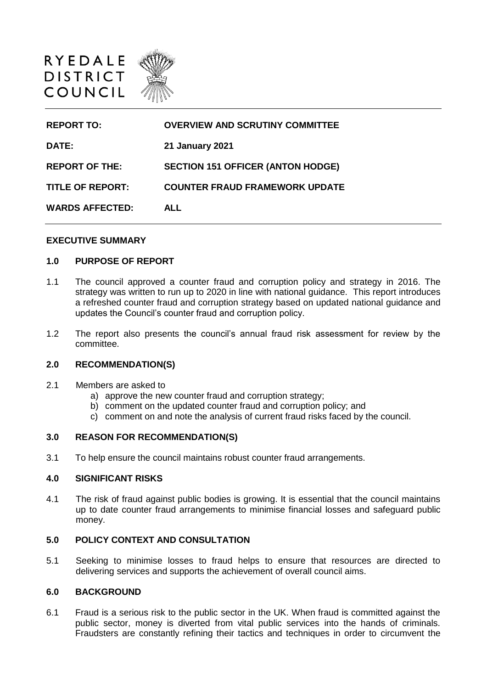

| <b>REPORT TO:</b>       | <b>OVERVIEW AND SCRUTINY COMMITTEE</b>   |
|-------------------------|------------------------------------------|
| DATE:                   | <b>21 January 2021</b>                   |
| <b>REPORT OF THE:</b>   | <b>SECTION 151 OFFICER (ANTON HODGE)</b> |
| <b>TITLE OF REPORT:</b> | <b>COUNTER FRAUD FRAMEWORK UPDATE</b>    |
| <b>WARDS AFFECTED:</b>  | ALL                                      |

### **EXECUTIVE SUMMARY**

## **1.0 PURPOSE OF REPORT**

- 1.1 The council approved a counter fraud and corruption policy and strategy in 2016. The strategy was written to run up to 2020 in line with national guidance. This report introduces a refreshed counter fraud and corruption strategy based on updated national guidance and updates the Council's counter fraud and corruption policy.
- 1.2 The report also presents the council's annual fraud risk assessment for review by the committee.

## **2.0 RECOMMENDATION(S)**

- 2.1 Members are asked to
	- a) approve the new counter fraud and corruption strategy;
	- b) comment on the updated counter fraud and corruption policy; and
	- c) comment on and note the analysis of current fraud risks faced by the council.

### **3.0 REASON FOR RECOMMENDATION(S)**

3.1 To help ensure the council maintains robust counter fraud arrangements.

## **4.0 SIGNIFICANT RISKS**

4.1 The risk of fraud against public bodies is growing. It is essential that the council maintains up to date counter fraud arrangements to minimise financial losses and safeguard public money.

### **5.0 POLICY CONTEXT AND CONSULTATION**

5.1 Seeking to minimise losses to fraud helps to ensure that resources are directed to delivering services and supports the achievement of overall council aims.

## **6.0 BACKGROUND**

6.1 Fraud is a serious risk to the public sector in the UK. When fraud is committed against the public sector, money is diverted from vital public services into the hands of criminals. Fraudsters are constantly refining their tactics and techniques in order to circumvent the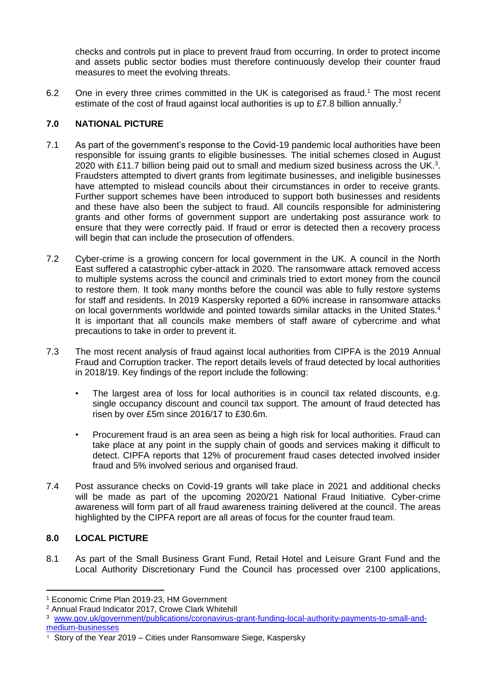checks and controls put in place to prevent fraud from occurring. In order to protect income and assets public sector bodies must therefore continuously develop their counter fraud measures to meet the evolving threats.

6.2 One in every three crimes committed in the UK is categorised as fraud.<sup>1</sup> The most recent estimate of the cost of fraud against local authorities is up to £7.8 billion annually.<sup>2</sup>

# **7.0 NATIONAL PICTURE**

- 7.1 As part of the government's response to the Covid-19 pandemic local authorities have been responsible for issuing grants to eligible businesses. The initial schemes closed in August 2020 with £11.7 billion being paid out to small and medium sized business across the UK.<sup>3</sup>. Fraudsters attempted to divert grants from legitimate businesses, and ineligible businesses have attempted to mislead councils about their circumstances in order to receive grants. Further support schemes have been introduced to support both businesses and residents and these have also been the subject to fraud. All councils responsible for administering grants and other forms of government support are undertaking post assurance work to ensure that they were correctly paid. If fraud or error is detected then a recovery process will begin that can include the prosecution of offenders.
- 7.2 Cyber-crime is a growing concern for local government in the UK. A council in the North East suffered a catastrophic cyber-attack in 2020. The ransomware attack removed access to multiple systems across the council and criminals tried to extort money from the council to restore them. It took many months before the council was able to fully restore systems for staff and residents. In 2019 Kaspersky reported a 60% increase in ransomware attacks on local governments worldwide and pointed towards similar attacks in the United States.<sup>4</sup> It is important that all councils make members of staff aware of cybercrime and what precautions to take in order to prevent it.
- 7.3 The most recent analysis of fraud against local authorities from CIPFA is the 2019 Annual Fraud and Corruption tracker. The report details levels of fraud detected by local authorities in 2018/19. Key findings of the report include the following:
	- The largest area of loss for local authorities is in council tax related discounts, e.g. single occupancy discount and council tax support. The amount of fraud detected has risen by over £5m since 2016/17 to £30.6m.
	- Procurement fraud is an area seen as being a high risk for local authorities. Fraud can take place at any point in the supply chain of goods and services making it difficult to detect. CIPFA reports that 12% of procurement fraud cases detected involved insider fraud and 5% involved serious and organised fraud.
- 7.4 Post assurance checks on Covid-19 grants will take place in 2021 and additional checks will be made as part of the upcoming 2020/21 National Fraud Initiative. Cyber-crime awareness will form part of all fraud awareness training delivered at the council. The areas highlighted by the CIPFA report are all areas of focus for the counter fraud team.

# **8.0 LOCAL PICTURE**

<u>.</u>

8.1 As part of the Small Business Grant Fund, Retail Hotel and Leisure Grant Fund and the Local Authority Discretionary Fund the Council has processed over 2100 applications,

<sup>1</sup> Economic Crime Plan 2019-23, HM Government

<sup>2</sup> Annual Fraud Indicator 2017, Crowe Clark Whitehill

<sup>3</sup> [www.gov.uk/government/publications/coronavirus-grant-funding-local-authority-payments-to-small-and](http://www.gov.uk/government/publications/coronavirus-grant-funding-local-authority-payments-to-small-and-medium-businesses)[medium-businesses](http://www.gov.uk/government/publications/coronavirus-grant-funding-local-authority-payments-to-small-and-medium-businesses)

<sup>4</sup> Story of the Year 2019 – Cities under Ransomware Siege, Kaspersky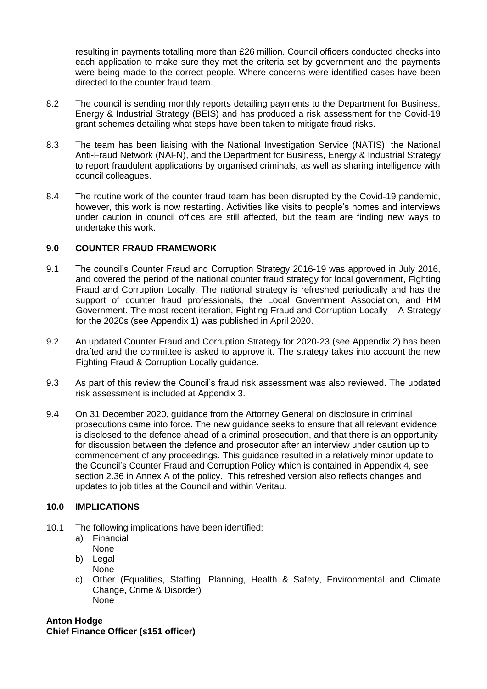resulting in payments totalling more than £26 million. Council officers conducted checks into each application to make sure they met the criteria set by government and the payments were being made to the correct people. Where concerns were identified cases have been directed to the counter fraud team.

- 8.2 The council is sending monthly reports detailing payments to the Department for Business, Energy & Industrial Strategy (BEIS) and has produced a risk assessment for the Covid-19 grant schemes detailing what steps have been taken to mitigate fraud risks.
- 8.3 The team has been liaising with the National Investigation Service (NATIS), the National Anti-Fraud Network (NAFN), and the Department for Business, Energy & Industrial Strategy to report fraudulent applications by organised criminals, as well as sharing intelligence with council colleagues.
- 8.4 The routine work of the counter fraud team has been disrupted by the Covid-19 pandemic, however, this work is now restarting. Activities like visits to people's homes and interviews under caution in council offices are still affected, but the team are finding new ways to undertake this work.

# **9.0 COUNTER FRAUD FRAMEWORK**

- 9.1 The council's Counter Fraud and Corruption Strategy 2016-19 was approved in July 2016, and covered the period of the national counter fraud strategy for local government, Fighting Fraud and Corruption Locally. The national strategy is refreshed periodically and has the support of counter fraud professionals, the Local Government Association, and HM Government. The most recent iteration, Fighting Fraud and Corruption Locally – A Strategy for the 2020s (see Appendix 1) was published in April 2020.
- 9.2 An updated Counter Fraud and Corruption Strategy for 2020-23 (see Appendix 2) has been drafted and the committee is asked to approve it. The strategy takes into account the new Fighting Fraud & Corruption Locally guidance.
- 9.3 As part of this review the Council's fraud risk assessment was also reviewed. The updated risk assessment is included at Appendix 3.
- 9.4 On 31 December 2020, guidance from the Attorney General on disclosure in criminal prosecutions came into force. The new guidance seeks to ensure that all relevant evidence is disclosed to the defence ahead of a criminal prosecution, and that there is an opportunity for discussion between the defence and prosecutor after an interview under caution up to commencement of any proceedings. This guidance resulted in a relatively minor update to the Council's Counter Fraud and Corruption Policy which is contained in Appendix 4, see section 2.36 in Annex A of the policy. This refreshed version also reflects changes and updates to job titles at the Council and within Veritau.

## **10.0 IMPLICATIONS**

- 10.1 The following implications have been identified:
	- a) Financial None
	- b) Legal
	- None
	- c) Other (Equalities, Staffing, Planning, Health & Safety, Environmental and Climate Change, Crime & Disorder) None

**Anton Hodge Chief Finance Officer (s151 officer)**